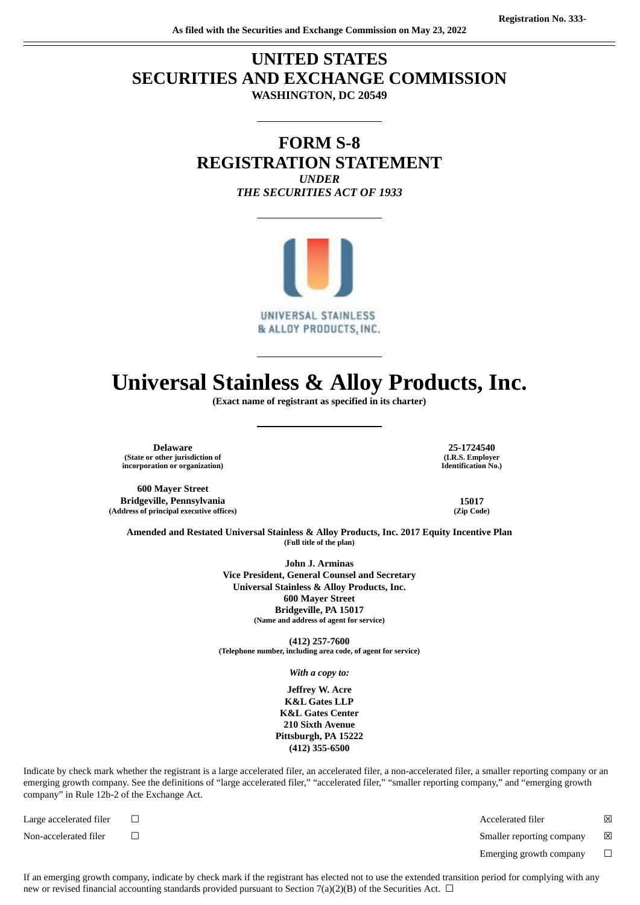## **UNITED STATES SECURITIES AND EXCHANGE COMMISSION WASHINGTON, DC 20549**

### **FORM S-8 REGISTRATION STATEMENT** *UNDER THE SECURITIES ACT OF 1933*



## **Universal Stainless & Alloy Products, Inc.**

**(Exact name of registrant as specified in its charter)**

**Delaware 25-1724540 (State or other jurisdiction of incorporation or organization)**

**600 Mayer Street Bridgeville, Pennsylvania 15017 (Address of principal executive offices) (Zip Code)**

**(I.R.S. Employer Identification No.)**

**Amended and Restated Universal Stainless & Alloy Products, Inc. 2017 Equity Incentive Plan (Full title of the plan)**

> **John J. Arminas Vice President, General Counsel and Secretary Universal Stainless & Alloy Products, Inc. 600 Mayer Street Bridgeville, PA 15017 (Name and address of agent for service)**

**(412) 257-7600 (Telephone number, including area code, of agent for service)**

*With a copy to:*

**Jeffrey W. Acre K&L Gates LLP K&L Gates Center 210 Sixth Avenue Pittsburgh, PA 15222 (412) 355-6500**

Indicate by check mark whether the registrant is a large accelerated filer, an accelerated filer, a non-accelerated filer, a smaller reporting company or an emerging growth company. See the definitions of "large accelerated filer," "accelerated filer," "smaller reporting company," and "emerging growth company" in Rule 12b-2 of the Exchange Act.

Large accelerated filer ☐ Accelerated filer ☒

Non-accelerated filer ☐ Smaller reporting company ☒

Emerging growth company  $\Box$ 

If an emerging growth company, indicate by check mark if the registrant has elected not to use the extended transition period for complying with any new or revised financial accounting standards provided pursuant to Section 7(a)(2)(B) of the Securities Act.  $\Box$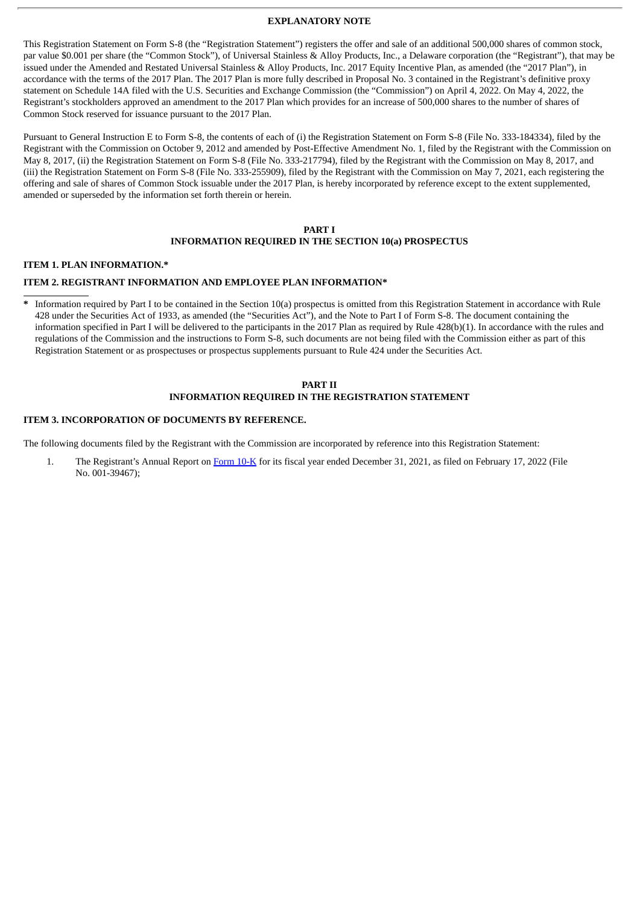#### **EXPLANATORY NOTE**

This Registration Statement on Form S-8 (the "Registration Statement") registers the offer and sale of an additional 500,000 shares of common stock, par value \$0.001 per share (the "Common Stock"), of Universal Stainless & Alloy Products, Inc., a Delaware corporation (the "Registrant"), that may be issued under the Amended and Restated Universal Stainless & Alloy Products, Inc. 2017 Equity Incentive Plan, as amended (the "2017 Plan"), in accordance with the terms of the 2017 Plan. The 2017 Plan is more fully described in Proposal No. 3 contained in the Registrant's definitive proxy statement on Schedule 14A filed with the U.S. Securities and Exchange Commission (the "Commission") on April 4, 2022. On May 4, 2022, the Registrant's stockholders approved an amendment to the 2017 Plan which provides for an increase of 500,000 shares to the number of shares of Common Stock reserved for issuance pursuant to the 2017 Plan.

Pursuant to General Instruction E to Form S-8, the contents of each of (i) the Registration Statement on Form S-8 (File No. 333-184334), filed by the Registrant with the Commission on October 9, 2012 and amended by Post-Effective Amendment No. 1, filed by the Registrant with the Commission on May 8, 2017, (ii) the Registration Statement on Form S-8 (File No. 333-217794), filed by the Registrant with the Commission on May 8, 2017, and (iii) the Registration Statement on Form S-8 (File No. 333-255909), filed by the Registrant with the Commission on May 7, 2021, each registering the offering and sale of shares of Common Stock issuable under the 2017 Plan, is hereby incorporated by reference except to the extent supplemented, amended or superseded by the information set forth therein or herein.

#### **PART I INFORMATION REQUIRED IN THE SECTION 10(a) PROSPECTUS**

#### **ITEM 1. PLAN INFORMATION.\***

#### **ITEM 2. REGISTRANT INFORMATION AND EMPLOYEE PLAN INFORMATION\***

**\*** Information required by Part I to be contained in the Section 10(a) prospectus is omitted from this Registration Statement in accordance with Rule 428 under the Securities Act of 1933, as amended (the "Securities Act"), and the Note to Part I of Form S-8. The document containing the information specified in Part I will be delivered to the participants in the 2017 Plan as required by Rule 428(b)(1). In accordance with the rules and regulations of the Commission and the instructions to Form S-8, such documents are not being filed with the Commission either as part of this Registration Statement or as prospectuses or prospectus supplements pursuant to Rule 424 under the Securities Act.

#### **PART II INFORMATION REQUIRED IN THE REGISTRATION STATEMENT**

#### **ITEM 3. INCORPORATION OF DOCUMENTS BY REFERENCE.**

The following documents filed by the Registrant with the Commission are incorporated by reference into this Registration Statement:

1. The Registrant's Annual Report on [Form](http://www.sec.gov/ix?doc=/Archives/edgar/data/931584/000156459022005590/usap-10k_20211231.htm) 10-K for its fiscal year ended December 31, 2021, as filed on February 17, 2022 (File No. 001-39467);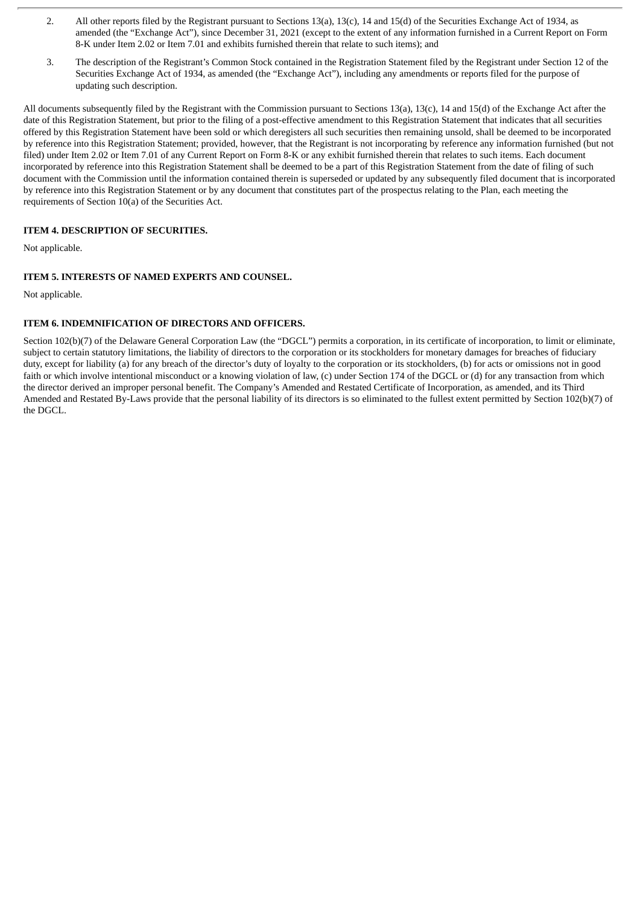- 2. All other reports filed by the Registrant pursuant to Sections 13(a), 13(c), 14 and 15(d) of the Securities Exchange Act of 1934, as amended (the "Exchange Act"), since December 31, 2021 (except to the extent of any information furnished in a Current Report on Form 8-K under Item 2.02 or Item 7.01 and exhibits furnished therein that relate to such items); and
- 3. The description of the Registrant's Common Stock contained in the Registration Statement filed by the Registrant under Section 12 of the Securities Exchange Act of 1934, as amended (the "Exchange Act"), including any amendments or reports filed for the purpose of updating such description.

All documents subsequently filed by the Registrant with the Commission pursuant to Sections 13(a), 13(c), 14 and 15(d) of the Exchange Act after the date of this Registration Statement, but prior to the filing of a post-effective amendment to this Registration Statement that indicates that all securities offered by this Registration Statement have been sold or which deregisters all such securities then remaining unsold, shall be deemed to be incorporated by reference into this Registration Statement; provided, however, that the Registrant is not incorporating by reference any information furnished (but not filed) under Item 2.02 or Item 7.01 of any Current Report on Form 8-K or any exhibit furnished therein that relates to such items. Each document incorporated by reference into this Registration Statement shall be deemed to be a part of this Registration Statement from the date of filing of such document with the Commission until the information contained therein is superseded or updated by any subsequently filed document that is incorporated by reference into this Registration Statement or by any document that constitutes part of the prospectus relating to the Plan, each meeting the requirements of Section 10(a) of the Securities Act.

#### **ITEM 4. DESCRIPTION OF SECURITIES.**

Not applicable.

#### **ITEM 5. INTERESTS OF NAMED EXPERTS AND COUNSEL.**

Not applicable.

#### **ITEM 6. INDEMNIFICATION OF DIRECTORS AND OFFICERS.**

Section 102(b)(7) of the Delaware General Corporation Law (the "DGCL") permits a corporation, in its certificate of incorporation, to limit or eliminate, subject to certain statutory limitations, the liability of directors to the corporation or its stockholders for monetary damages for breaches of fiduciary duty, except for liability (a) for any breach of the director's duty of loyalty to the corporation or its stockholders, (b) for acts or omissions not in good faith or which involve intentional misconduct or a knowing violation of law, (c) under Section 174 of the DGCL or (d) for any transaction from which the director derived an improper personal benefit. The Company's Amended and Restated Certificate of Incorporation, as amended, and its Third Amended and Restated By-Laws provide that the personal liability of its directors is so eliminated to the fullest extent permitted by Section 102(b)(7) of the DGCL.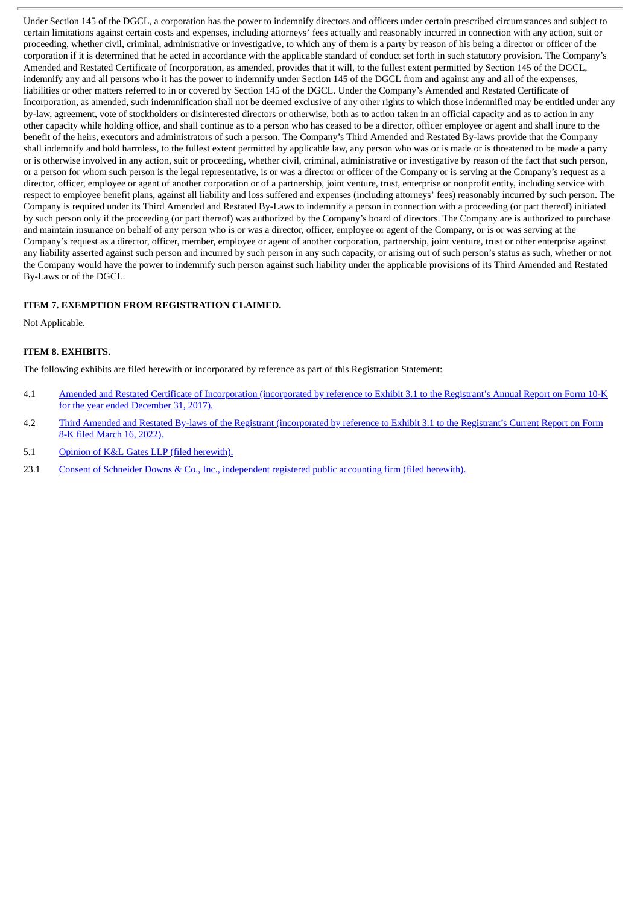Under Section 145 of the DGCL, a corporation has the power to indemnify directors and officers under certain prescribed circumstances and subject to certain limitations against certain costs and expenses, including attorneys' fees actually and reasonably incurred in connection with any action, suit or proceeding, whether civil, criminal, administrative or investigative, to which any of them is a party by reason of his being a director or officer of the corporation if it is determined that he acted in accordance with the applicable standard of conduct set forth in such statutory provision. The Company's Amended and Restated Certificate of Incorporation, as amended, provides that it will, to the fullest extent permitted by Section 145 of the DGCL, indemnify any and all persons who it has the power to indemnify under Section 145 of the DGCL from and against any and all of the expenses, liabilities or other matters referred to in or covered by Section 145 of the DGCL. Under the Company's Amended and Restated Certificate of Incorporation, as amended, such indemnification shall not be deemed exclusive of any other rights to which those indemnified may be entitled under any by-law, agreement, vote of stockholders or disinterested directors or otherwise, both as to action taken in an official capacity and as to action in any other capacity while holding office, and shall continue as to a person who has ceased to be a director, officer employee or agent and shall inure to the benefit of the heirs, executors and administrators of such a person. The Company's Third Amended and Restated By-laws provide that the Company shall indemnify and hold harmless, to the fullest extent permitted by applicable law, any person who was or is made or is threatened to be made a party or is otherwise involved in any action, suit or proceeding, whether civil, criminal, administrative or investigative by reason of the fact that such person, or a person for whom such person is the legal representative, is or was a director or officer of the Company or is serving at the Company's request as a director, officer, employee or agent of another corporation or of a partnership, joint venture, trust, enterprise or nonprofit entity, including service with respect to employee benefit plans, against all liability and loss suffered and expenses (including attorneys' fees) reasonably incurred by such person. The Company is required under its Third Amended and Restated By-Laws to indemnify a person in connection with a proceeding (or part thereof) initiated by such person only if the proceeding (or part thereof) was authorized by the Company's board of directors. The Company are is authorized to purchase and maintain insurance on behalf of any person who is or was a director, officer, employee or agent of the Company, or is or was serving at the Company's request as a director, officer, member, employee or agent of another corporation, partnership, joint venture, trust or other enterprise against any liability asserted against such person and incurred by such person in any such capacity, or arising out of such person's status as such, whether or not the Company would have the power to indemnify such person against such liability under the applicable provisions of its Third Amended and Restated By-Laws or of the DGCL.

#### **ITEM 7. EXEMPTION FROM REGISTRATION CLAIMED.**

Not Applicable.

#### **ITEM 8. EXHIBITS.**

The following exhibits are filed herewith or incorporated by reference as part of this Registration Statement:

- 4.1 Amended and Restated Certificate of [Incorporation](http://www.sec.gov/Archives/edgar/data/931584/000156459018003014/usap-ex31_181.htm) (incorporated by reference to Exhibit 3.1 to the Registrant's Annual Report on Form 10-K for the year ended December 31, 2017).
- 4.2 Third Amended and Restated By-laws of the Registrant [\(incorporated](http://www.sec.gov/Archives/edgar/data/931584/000119312522077292/d332555dex31.htm) by reference to Exhibit 3.1 to the Registrant's Current Report on Form 8-K filed March 16, 2022).

5.1 Opinion of K&L Gates LLP (filed [herewith\).](#page-8-0)

23.1 Consent of Schneider Downs & Co., Inc., [independent](#page-10-0) registered public accounting firm (filed herewith).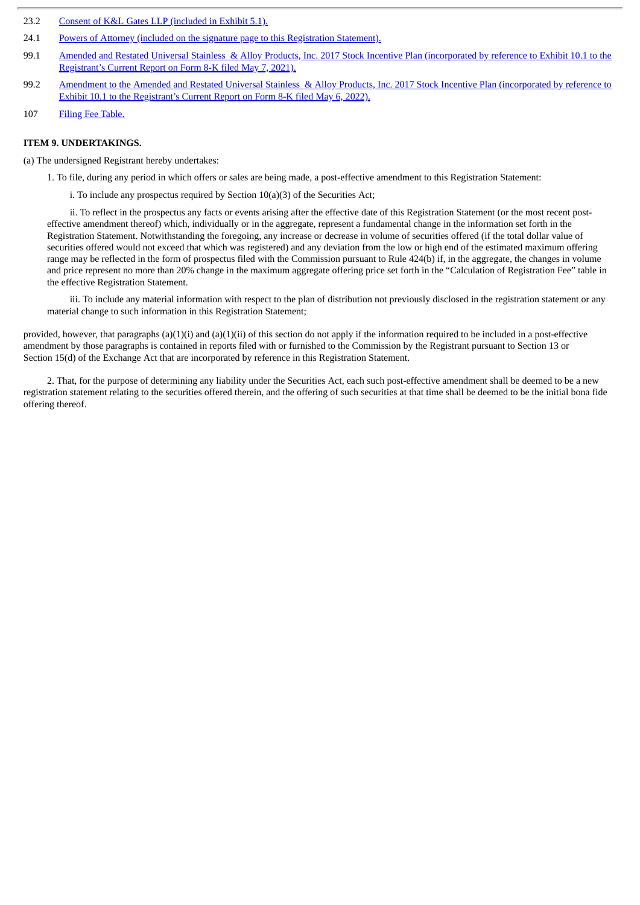- 23.2 Consent of K&L Gates LLP [\(included](#page-8-0) in Exhibit 5.1).
- 24.1 Powers of Attorney (included on the signature page to this [Registration](#page-7-0) Statement).
- 99.1 Amended and Restated Universal Stainless & Alloy Products, Inc. 2017 Stock Incentive Plan [\(incorporated](http://www.sec.gov/Archives/edgar/data/931584/000119312521153530/d222412dex101.htm) by reference to Exhibit 10.1 to the Registrant's Current Report on Form 8-K filed May 7, 2021).
- 99.2 Amendment to the Amended and Restated Universal Stainless & Alloy Products, Inc. 2017 Stock Incentive Plan [\(incorporated](http://www.sec.gov/Archives/edgar/data/931584/000119312522143002/d293714dex101.htm) by reference to Exhibit 10.1 to the Registrant's Current Report on Form 8-K filed May 6, 2022).
- 107 Filing Fee [Table.](#page-11-0)

#### **ITEM 9. UNDERTAKINGS.**

(a) The undersigned Registrant hereby undertakes:

1. To file, during any period in which offers or sales are being made, a post-effective amendment to this Registration Statement:

i. To include any prospectus required by Section 10(a)(3) of the Securities Act;

ii. To reflect in the prospectus any facts or events arising after the effective date of this Registration Statement (or the most recent posteffective amendment thereof) which, individually or in the aggregate, represent a fundamental change in the information set forth in the Registration Statement. Notwithstanding the foregoing, any increase or decrease in volume of securities offered (if the total dollar value of securities offered would not exceed that which was registered) and any deviation from the low or high end of the estimated maximum offering range may be reflected in the form of prospectus filed with the Commission pursuant to Rule 424(b) if, in the aggregate, the changes in volume and price represent no more than 20% change in the maximum aggregate offering price set forth in the "Calculation of Registration Fee" table in the effective Registration Statement.

iii. To include any material information with respect to the plan of distribution not previously disclosed in the registration statement or any material change to such information in this Registration Statement;

provided, however, that paragraphs  $(a)(1)(i)$  and  $(a)(1)(ii)$  of this section do not apply if the information required to be included in a post-effective amendment by those paragraphs is contained in reports filed with or furnished to the Commission by the Registrant pursuant to Section 13 or Section 15(d) of the Exchange Act that are incorporated by reference in this Registration Statement.

2. That, for the purpose of determining any liability under the Securities Act, each such post-effective amendment shall be deemed to be a new registration statement relating to the securities offered therein, and the offering of such securities at that time shall be deemed to be the initial bona fide offering thereof.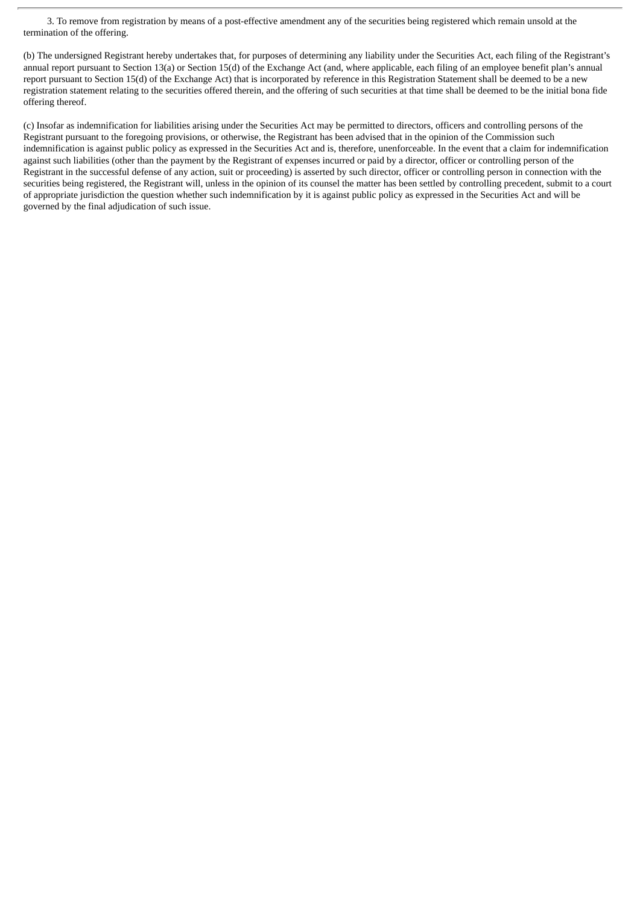3. To remove from registration by means of a post-effective amendment any of the securities being registered which remain unsold at the termination of the offering.

(b) The undersigned Registrant hereby undertakes that, for purposes of determining any liability under the Securities Act, each filing of the Registrant's annual report pursuant to Section 13(a) or Section 15(d) of the Exchange Act (and, where applicable, each filing of an employee benefit plan's annual report pursuant to Section 15(d) of the Exchange Act) that is incorporated by reference in this Registration Statement shall be deemed to be a new registration statement relating to the securities offered therein, and the offering of such securities at that time shall be deemed to be the initial bona fide offering thereof.

(c) Insofar as indemnification for liabilities arising under the Securities Act may be permitted to directors, officers and controlling persons of the Registrant pursuant to the foregoing provisions, or otherwise, the Registrant has been advised that in the opinion of the Commission such indemnification is against public policy as expressed in the Securities Act and is, therefore, unenforceable. In the event that a claim for indemnification against such liabilities (other than the payment by the Registrant of expenses incurred or paid by a director, officer or controlling person of the Registrant in the successful defense of any action, suit or proceeding) is asserted by such director, officer or controlling person in connection with the securities being registered, the Registrant will, unless in the opinion of its counsel the matter has been settled by controlling precedent, submit to a court of appropriate jurisdiction the question whether such indemnification by it is against public policy as expressed in the Securities Act and will be governed by the final adjudication of such issue.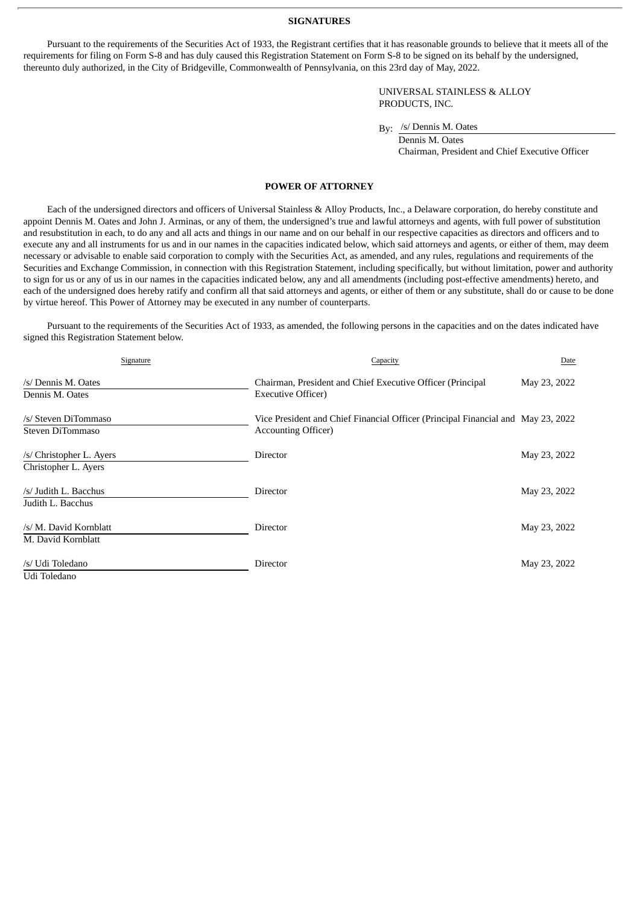#### **SIGNATURES**

<span id="page-7-0"></span>Pursuant to the requirements of the Securities Act of 1933, the Registrant certifies that it has reasonable grounds to believe that it meets all of the requirements for filing on Form S-8 and has duly caused this Registration Statement on Form S-8 to be signed on its behalf by the undersigned, thereunto duly authorized, in the City of Bridgeville, Commonwealth of Pennsylvania, on this 23rd day of May, 2022.

> UNIVERSAL STAINLESS & ALLOY PRODUCTS, INC.

By: /s/ Dennis M. Oates

Dennis M. Oates Chairman, President and Chief Executive Officer

#### **POWER OF ATTORNEY**

Each of the undersigned directors and officers of Universal Stainless & Alloy Products, Inc., a Delaware corporation, do hereby constitute and appoint Dennis M. Oates and John J. Arminas, or any of them, the undersigned's true and lawful attorneys and agents, with full power of substitution and resubstitution in each, to do any and all acts and things in our name and on our behalf in our respective capacities as directors and officers and to execute any and all instruments for us and in our names in the capacities indicated below, which said attorneys and agents, or either of them, may deem necessary or advisable to enable said corporation to comply with the Securities Act, as amended, and any rules, regulations and requirements of the Securities and Exchange Commission, in connection with this Registration Statement, including specifically, but without limitation, power and authority to sign for us or any of us in our names in the capacities indicated below, any and all amendments (including post-effective amendments) hereto, and each of the undersigned does hereby ratify and confirm all that said attorneys and agents, or either of them or any substitute, shall do or cause to be done by virtue hereof. This Power of Attorney may be executed in any number of counterparts.

Pursuant to the requirements of the Securities Act of 1933, as amended, the following persons in the capacities and on the dates indicated have signed this Registration Statement below.

| Signature                                        | Capacity                                                                                                         | Date         |
|--------------------------------------------------|------------------------------------------------------------------------------------------------------------------|--------------|
| /s/ Dennis M. Oates<br>Dennis M. Oates           | Chairman, President and Chief Executive Officer (Principal<br><b>Executive Officer)</b>                          | May 23, 2022 |
| /s/ Steven DiTommaso<br>Steven DiTommaso         | Vice President and Chief Financial Officer (Principal Financial and May 23, 2022)<br><b>Accounting Officer</b> ) |              |
| /s/ Christopher L. Ayers<br>Christopher L. Ayers | Director                                                                                                         | May 23, 2022 |
| /s/ Judith L. Bacchus<br>Judith L. Bacchus       | Director                                                                                                         | May 23, 2022 |
| /s/ M. David Kornblatt<br>M. David Kornblatt     | Director                                                                                                         | May 23, 2022 |
| /s/ Udi Toledano<br>Udi Toledano                 | Director                                                                                                         | May 23, 2022 |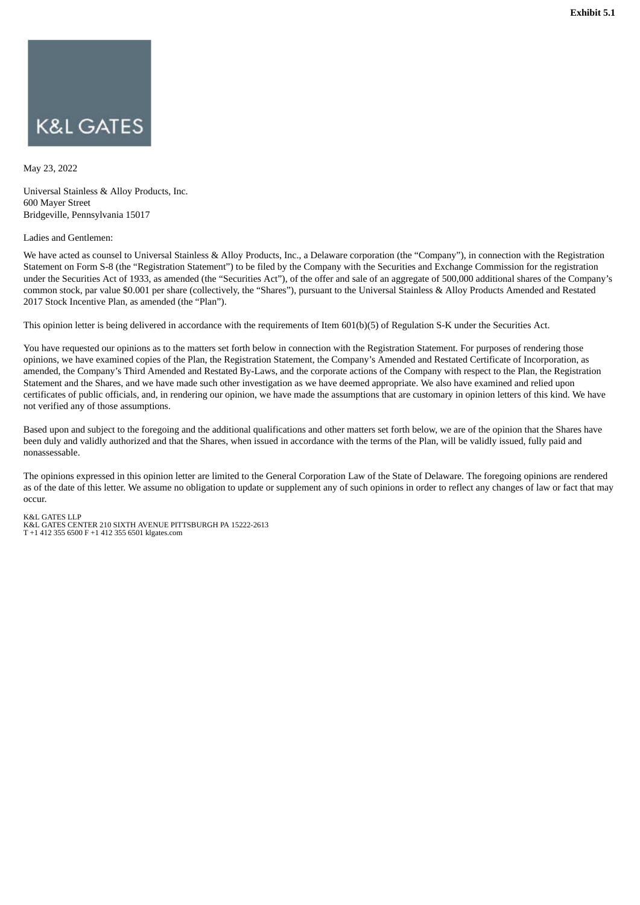# <span id="page-8-0"></span>**K&L GATES**

May 23, 2022

Universal Stainless & Alloy Products, Inc. 600 Mayer Street Bridgeville, Pennsylvania 15017

#### Ladies and Gentlemen:

We have acted as counsel to Universal Stainless & Alloy Products, Inc., a Delaware corporation (the "Company"), in connection with the Registration Statement on Form S-8 (the "Registration Statement") to be filed by the Company with the Securities and Exchange Commission for the registration under the Securities Act of 1933, as amended (the "Securities Act"), of the offer and sale of an aggregate of 500,000 additional shares of the Company's common stock, par value \$0.001 per share (collectively, the "Shares"), pursuant to the Universal Stainless & Alloy Products Amended and Restated 2017 Stock Incentive Plan, as amended (the "Plan").

This opinion letter is being delivered in accordance with the requirements of Item 601(b)(5) of Regulation S-K under the Securities Act.

You have requested our opinions as to the matters set forth below in connection with the Registration Statement. For purposes of rendering those opinions, we have examined copies of the Plan, the Registration Statement, the Company's Amended and Restated Certificate of Incorporation, as amended, the Company's Third Amended and Restated By-Laws, and the corporate actions of the Company with respect to the Plan, the Registration Statement and the Shares, and we have made such other investigation as we have deemed appropriate. We also have examined and relied upon certificates of public officials, and, in rendering our opinion, we have made the assumptions that are customary in opinion letters of this kind. We have not verified any of those assumptions.

Based upon and subject to the foregoing and the additional qualifications and other matters set forth below, we are of the opinion that the Shares have been duly and validly authorized and that the Shares, when issued in accordance with the terms of the Plan, will be validly issued, fully paid and nonassessable.

The opinions expressed in this opinion letter are limited to the General Corporation Law of the State of Delaware. The foregoing opinions are rendered as of the date of this letter. We assume no obligation to update or supplement any of such opinions in order to reflect any changes of law or fact that may occur.

#### K&L GATES LLP

K&L GATES CENTER 210 SIXTH AVENUE PITTSBURGH PA 15222-2613 T +1 412 355 6500 F +1 412 355 6501 klgates.com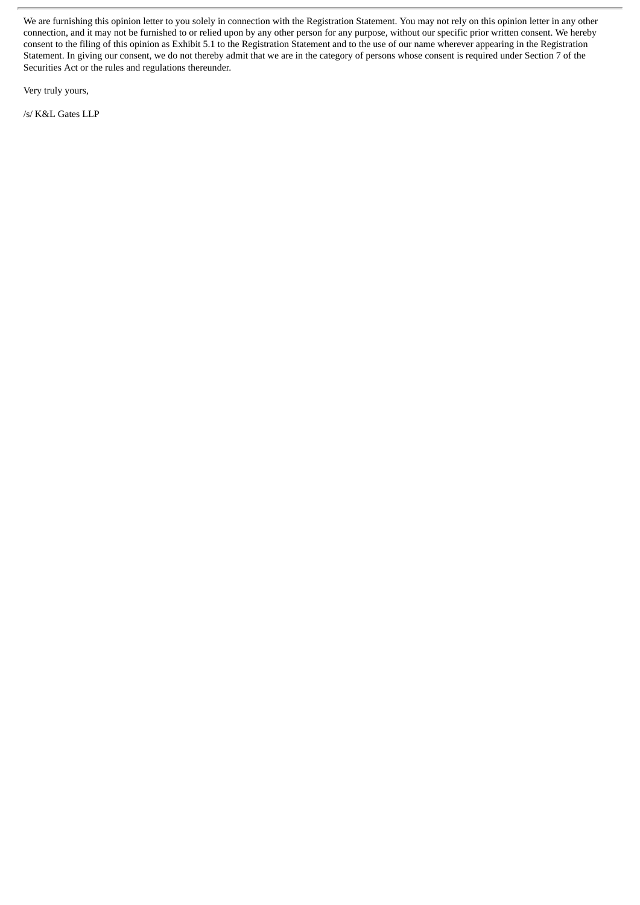We are furnishing this opinion letter to you solely in connection with the Registration Statement. You may not rely on this opinion letter in any other connection, and it may not be furnished to or relied upon by any other person for any purpose, without our specific prior written consent. We hereby consent to the filing of this opinion as Exhibit 5.1 to the Registration Statement and to the use of our name wherever appearing in the Registration Statement. In giving our consent, we do not thereby admit that we are in the category of persons whose consent is required under Section 7 of the Securities Act or the rules and regulations thereunder.

Very truly yours,

/s/ K&L Gates LLP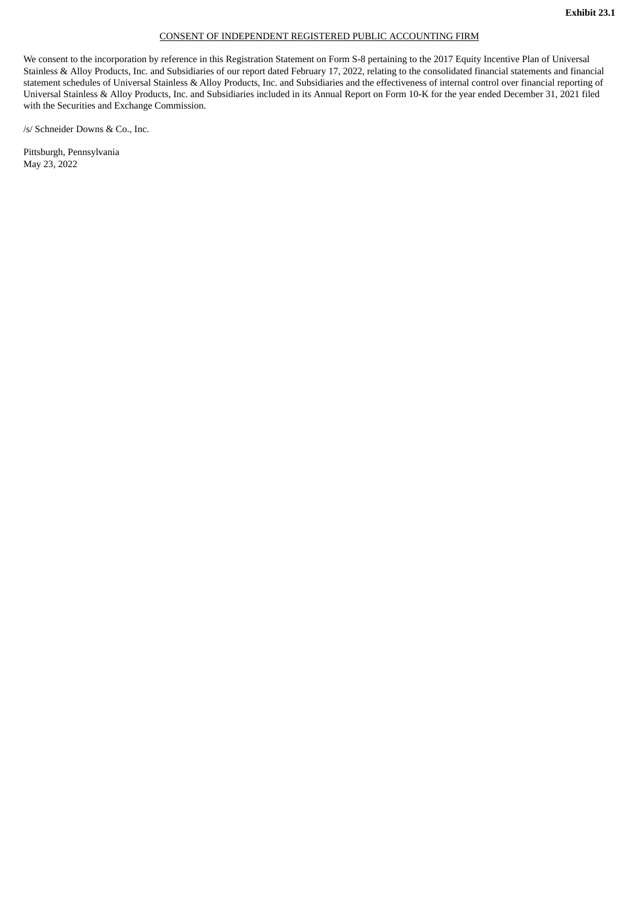#### CONSENT OF INDEPENDENT REGISTERED PUBLIC ACCOUNTING FIRM

<span id="page-10-0"></span>We consent to the incorporation by reference in this Registration Statement on Form S-8 pertaining to the 2017 Equity Incentive Plan of Universal Stainless & Alloy Products, Inc. and Subsidiaries of our report dated February 17, 2022, relating to the consolidated financial statements and financial statement schedules of Universal Stainless & Alloy Products, Inc. and Subsidiaries and the effectiveness of internal control over financial reporting of Universal Stainless & Alloy Products, Inc. and Subsidiaries included in its Annual Report on Form 10-K for the year ended December 31, 2021 filed with the Securities and Exchange Commission.

/s/ Schneider Downs & Co., Inc.

Pittsburgh, Pennsylvania May 23, 2022